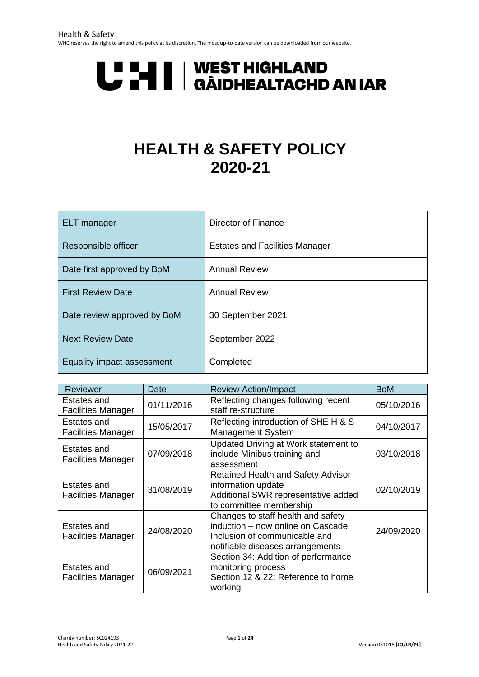# **U HAND AN AN DEST HIGHLAND<br>U HAND AN IAR**

# **HEALTH & SAFETY POLICY 2020-21**

| <b>ELT</b> manager          | Director of Finance                   |
|-----------------------------|---------------------------------------|
| Responsible officer         | <b>Estates and Facilities Manager</b> |
| Date first approved by BoM  | <b>Annual Review</b>                  |
| <b>First Review Date</b>    | <b>Annual Review</b>                  |
| Date review approved by BoM | 30 September 2021                     |
| <b>Next Review Date</b>     | September 2022                        |
| Equality impact assessment  | Completed                             |

| Reviewer                                 | Date       | <b>Review Action/Impact</b>                                                                                                                  | <b>BoM</b> |
|------------------------------------------|------------|----------------------------------------------------------------------------------------------------------------------------------------------|------------|
| Estates and<br><b>Facilities Manager</b> | 01/11/2016 | Reflecting changes following recent<br>staff re-structure                                                                                    | 05/10/2016 |
| Estates and<br><b>Facilities Manager</b> | 15/05/2017 | Reflecting introduction of SHE H & S<br><b>Management System</b>                                                                             | 04/10/2017 |
| Estates and<br><b>Facilities Manager</b> | 07/09/2018 | Updated Driving at Work statement to<br>include Minibus training and<br>assessment                                                           | 03/10/2018 |
| Estates and<br><b>Facilities Manager</b> | 31/08/2019 | <b>Retained Health and Safety Advisor</b><br>information update<br>Additional SWR representative added<br>to committee membership            | 02/10/2019 |
| Estates and<br><b>Facilities Manager</b> | 24/08/2020 | Changes to staff health and safety<br>induction - now online on Cascade<br>Inclusion of communicable and<br>notifiable diseases arrangements | 24/09/2020 |
| Estates and<br><b>Facilities Manager</b> | 06/09/2021 | Section 34: Addition of performance<br>monitoring process<br>Section 12 & 22: Reference to home<br>working                                   |            |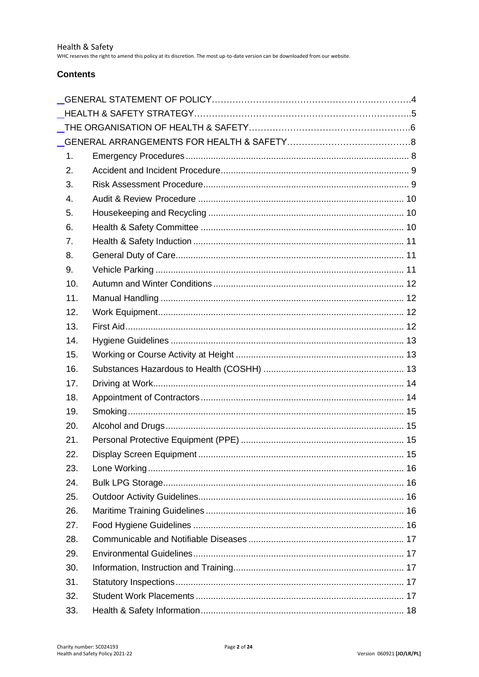WHC reserves the right to amend this policy at its discretion. The most up-to-date version can be downloaded from our website.

#### **Contents**

| 1.  |  |
|-----|--|
| 2.  |  |
| 3.  |  |
| 4.  |  |
| 5.  |  |
| 6.  |  |
| 7.  |  |
| 8.  |  |
| 9.  |  |
| 10. |  |
| 11. |  |
| 12. |  |
| 13. |  |
| 14. |  |
| 15. |  |
| 16. |  |
| 17. |  |
| 18. |  |
| 19. |  |
| 20. |  |
| 21. |  |
| 22. |  |
| 23. |  |
| 24. |  |
| 25. |  |
| 26. |  |
| 27. |  |
| 28. |  |
| 29. |  |
| 30. |  |
| 31. |  |
| 32. |  |
| 33. |  |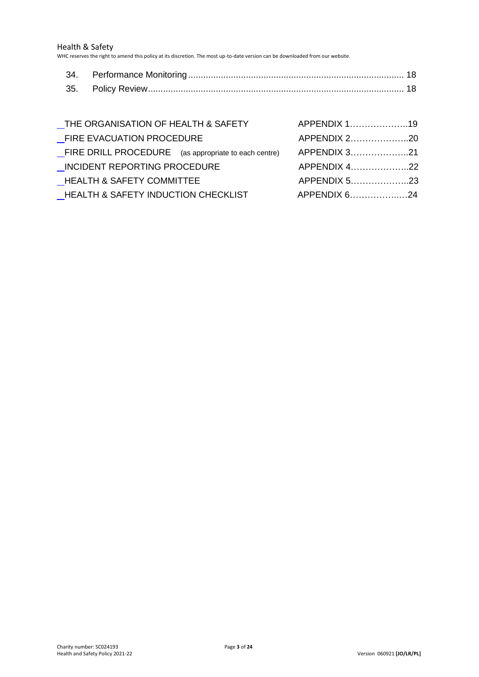Health & Safety

WHC reserves the right to amend this policy at its discretion. The most up-to-date version can be downloaded from our website.

| _THE ORGANISATION OF HEALTH & SAFETY                 | APPENDIX 119 |
|------------------------------------------------------|--------------|
| _FIRE EVACUATION PROCEDURE                           | APPENDIX 220 |
| FIRE DRILL PROCEDURE (as appropriate to each centre) | APPENDIX 321 |
| INCIDENT REPORTING PROCEDURE                         | APPENDIX 422 |
| <b>HEALTH &amp; SAFETY COMMITTEE</b>                 |              |
| <b>HEALTH &amp; SAFETY INDUCTION CHECKLIST</b>       | APPENDIX 624 |
|                                                      |              |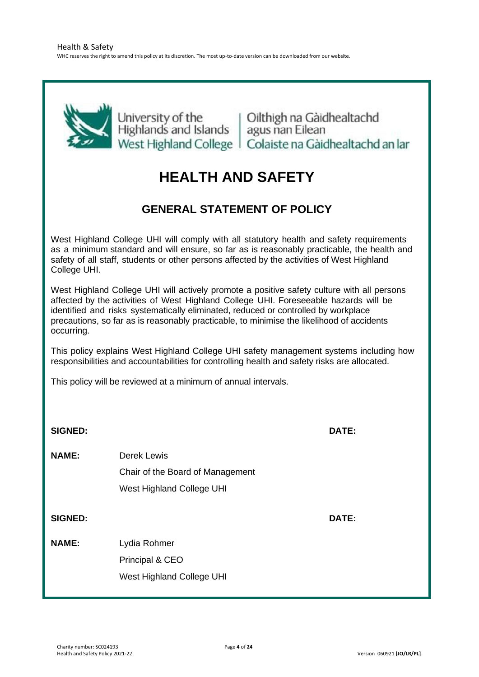<span id="page-3-0"></span>

University of the University of the University of the University of the University of the University nan Eilean West Highland College | Colaiste na Gàidhealtachd an Iar

# **HEALTH AND SAFETY**

# **GENERAL STATEMENT OF POLICY**

West Highland College UHI will comply with all statutory health and safety requirements as a minimum standard and will ensure, so far as is reasonably practicable, the health and safety of all staff, students or other persons affected by the activities of West Highland College UHI.

West Highland College UHI will actively promote a positive safety culture with all persons affected by the activities of West Highland College UHI. Foreseeable hazards will be identified and risks systematically eliminated, reduced or controlled by workplace precautions, so far as is reasonably practicable, to minimise the likelihood of accidents occurring.

This policy explains West Highland College UHI safety management systems including how responsibilities and accountabilities for controlling health and safety risks are allocated.

This policy will be reviewed at a minimum of annual intervals.

<span id="page-3-1"></span>**SIGNED: DATE: NAME:** Derek Lewis Chair of the Board of Management West Highland College UHI **SIGNED: DATE: NAME:** Lydia Rohmer Principal & CEO West Highland College UHI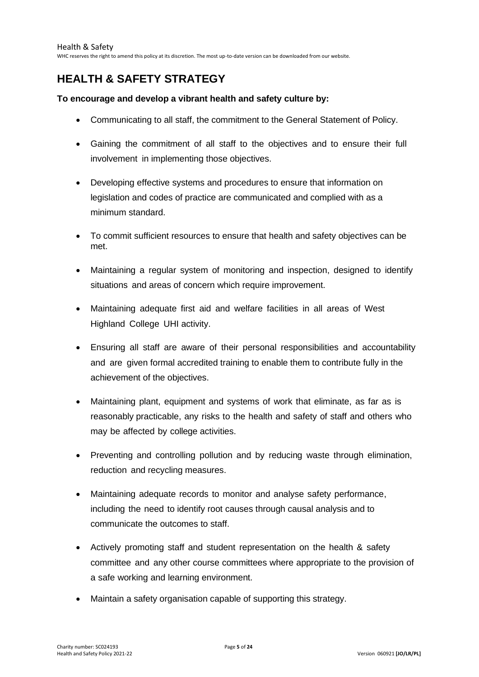WHC reserves the right to amend this policy at its discretion. The most up-to-date version can be downloaded from our website.

# **HEALTH & SAFETY STRATEGY**

#### **To encourage and develop a vibrant health and safety culture by:**

- Communicating to all staff, the commitment to the General Statement of Policy.
- Gaining the commitment of all staff to the objectives and to ensure their full involvement in implementing those objectives.
- Developing effective systems and procedures to ensure that information on legislation and codes of practice are communicated and complied with as a minimum standard.
- To commit sufficient resources to ensure that health and safety objectives can be met.
- Maintaining a regular system of monitoring and inspection, designed to identify situations and areas of concern which require improvement.
- Maintaining adequate first aid and welfare facilities in all areas of West Highland College UHI activity.
- Ensuring all staff are aware of their personal responsibilities and accountability and are given formal accredited training to enable them to contribute fully in the achievement of the objectives.
- Maintaining plant, equipment and systems of work that eliminate, as far as is reasonably practicable, any risks to the health and safety of staff and others who may be affected by college activities.
- Preventing and controlling pollution and by reducing waste through elimination, reduction and recycling measures.
- Maintaining adequate records to monitor and analyse safety performance, including the need to identify root causes through causal analysis and to communicate the outcomes to staff.
- Actively promoting staff and student representation on the health & safety committee and any other course committees where appropriate to the provision of a safe working and learning environment.
- Maintain a safety organisation capable of supporting this strategy.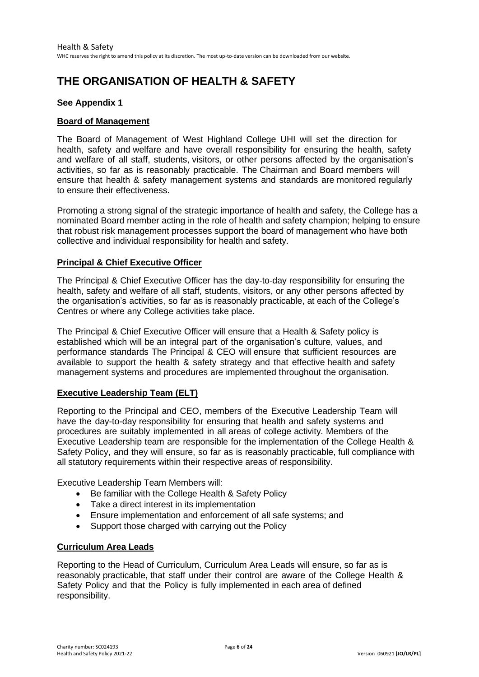# <span id="page-5-0"></span>**THE ORGANISATION OF HEALTH & SAFETY**

#### **See Appendix 1**

#### **Board of Management**

The Board of Management of West Highland College UHI will set the direction for health, safety and welfare and have overall responsibility for ensuring the health, safety and welfare of all staff, students, visitors, or other persons affected by the organisation's activities, so far as is reasonably practicable. The Chairman and Board members will ensure that health & safety management systems and standards are monitored regularly to ensure their effectiveness.

Promoting a strong signal of the strategic importance of health and safety, the College has a nominated Board member acting in the role of health and safety champion; helping to ensure that robust risk management processes support the board of management who have both collective and individual responsibility for health and safety.

#### **Principal & Chief Executive Officer**

The Principal & Chief Executive Officer has the day-to-day responsibility for ensuring the health, safety and welfare of all staff, students, visitors, or any other persons affected by the organisation's activities, so far as is reasonably practicable, at each of the College's Centres or where any College activities take place.

The Principal & Chief Executive Officer will ensure that a Health & Safety policy is established which will be an integral part of the organisation's culture, values, and performance standards The Principal & CEO will ensure that sufficient resources are available to support the health & safety strategy and that effective health and safety management systems and procedures are implemented throughout the organisation.

#### **Executive Leadership Team (ELT)**

Reporting to the Principal and CEO, members of the Executive Leadership Team will have the day-to-day responsibility for ensuring that health and safety systems and procedures are suitably implemented in all areas of college activity. Members of the Executive Leadership team are responsible for the implementation of the College Health & Safety Policy, and they will ensure, so far as is reasonably practicable, full compliance with all statutory requirements within their respective areas of responsibility.

Executive Leadership Team Members will:

- Be familiar with the College Health & Safety Policy
- Take a direct interest in its implementation
- Ensure implementation and enforcement of all safe systems; and
- Support those charged with carrying out the Policy

#### **Curriculum Area Leads**

Reporting to the Head of Curriculum, Curriculum Area Leads will ensure, so far as is reasonably practicable, that staff under their control are aware of the College Health & Safety Policy and that the Policy is fully implemented in each area of defined responsibility.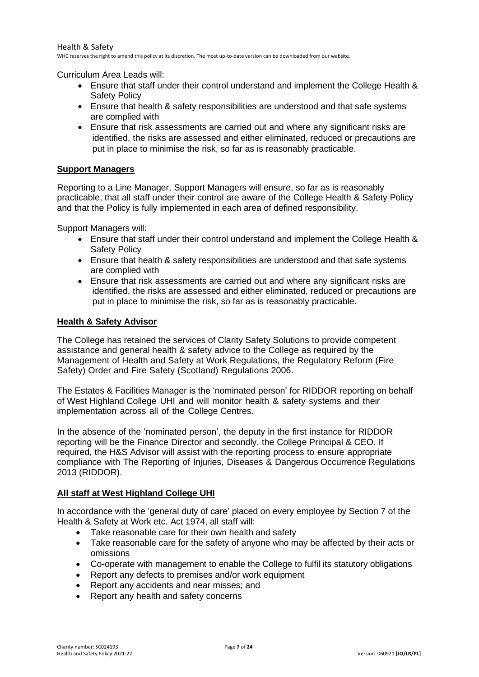Curriculum Area Leads will:

- Ensure that staff under their control understand and implement the College Health & Safety Policy
- Ensure that health & safety responsibilities are understood and that safe systems are complied with
- Ensure that risk assessments are carried out and where any significant risks are identified, the risks are assessed and either eliminated, reduced or precautions are put in place to minimise the risk, so far as is reasonably practicable.

#### **Support Managers**

Reporting to a Line Manager, Support Managers will ensure, so far as is reasonably practicable, that all staff under their control are aware of the College Health & Safety Policy and that the Policy is fully implemented in each area of defined responsibility.

Support Managers will:

- Ensure that staff under their control understand and implement the College Health & Safety Policy
- Ensure that health & safety responsibilities are understood and that safe systems are complied with
- Ensure that risk assessments are carried out and where any significant risks are identified, the risks are assessed and either eliminated, reduced or precautions are put in place to minimise the risk, so far as is reasonably practicable.

#### **Health & Safety Advisor**

The College has retained the services of Clarity Safety Solutions to provide competent assistance and general health & safety advice to the College as required by the Management of Health and Safety at Work Regulations, the Regulatory Reform (Fire Safety) Order and Fire Safety (Scotland) Regulations 2006.

The Estates & Facilities Manager is the 'nominated person' for RIDDOR reporting on behalf of West Highland College UHI and will monitor health & safety systems and their implementation across all of the College Centres.

In the absence of the 'nominated person', the deputy in the first instance for RIDDOR reporting will be the Finance Director and secondly, the College Principal & CEO. If required, the H&S Advisor will assist with the reporting process to ensure appropriate compliance with The Reporting of Injuries, Diseases & Dangerous Occurrence Regulations 2013 (RIDDOR).

#### **All staff at West Highland College UHI**

In accordance with the 'general duty of care' placed on every employee by Section 7 of the Health & Safety at Work etc. Act 1974, all staff will:

- Take reasonable care for their own health and safety
- Take reasonable care for the safety of anyone who may be affected by their acts or omissions
- Co-operate with management to enable the College to fulfil its statutory obligations
- Report any defects to premises and/or work equipment
- Report any accidents and near misses; and
- Report any health and safety concerns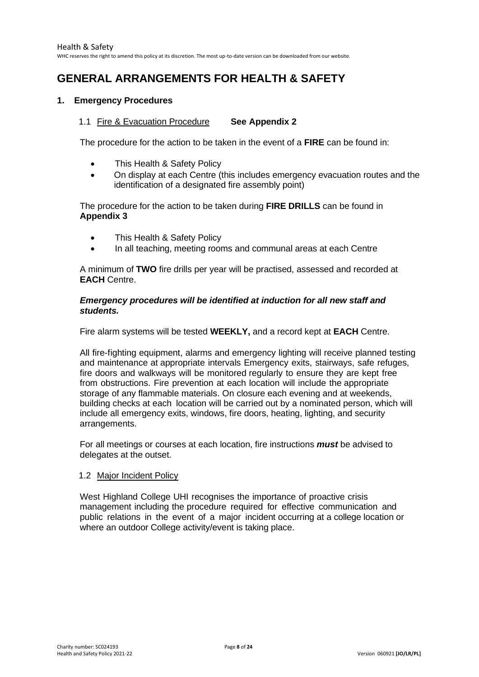# <span id="page-7-0"></span>**GENERAL ARRANGEMENTS FOR HEALTH & SAFETY**

#### <span id="page-7-1"></span>**1. Emergency Procedures**

#### 1.1 Fire & Evacuation Procedure **See Appendix 2**

The procedure for the action to be taken in the event of a **FIRE** can be found in:

- This Health & Safety Policy
- On display at each Centre (this includes emergency evacuation routes and the identification of a designated fire assembly point)

The procedure for the action to be taken during **FIRE DRILLS** can be found in **Appendix 3**

- This Health & Safety Policy
- In all teaching, meeting rooms and communal areas at each Centre

A minimum of **TWO** fire drills per year will be practised, assessed and recorded at **EACH** Centre.

#### *Emergency procedures will be identified at induction for all new staff and students.*

Fire alarm systems will be tested **WEEKLY,** and a record kept at **EACH** Centre.

All fire-fighting equipment, alarms and emergency lighting will receive planned testing and maintenance at appropriate intervals Emergency exits, stairways, safe refuges, fire doors and walkways will be monitored regularly to ensure they are kept free from obstructions. Fire prevention at each location will include the appropriate storage of any flammable materials. On closure each evening and at weekends, building checks at each location will be carried out by a nominated person, which will include all emergency exits, windows, fire doors, heating, lighting, and security arrangements.

For all meetings or courses at each location, fire instructions *must* be advised to delegates at the outset.

#### 1.2 Major Incident Policy

West Highland College UHI recognises the importance of proactive crisis management including the procedure required for effective communication and public relations in the event of a major incident occurring at a college location or where an outdoor College activity/event is taking place.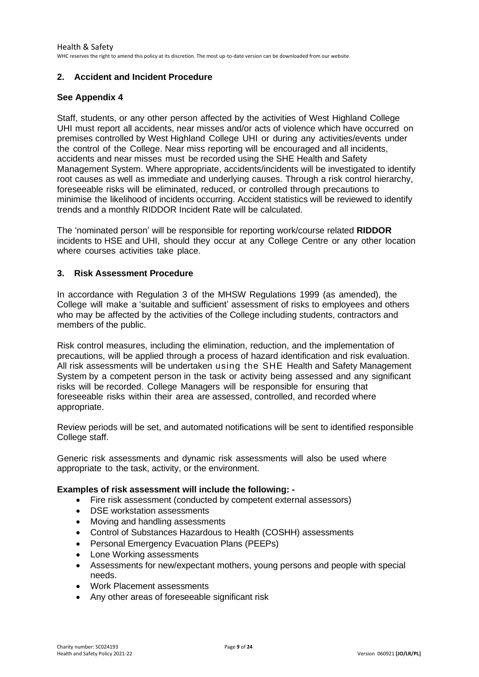#### <span id="page-8-0"></span>**2. Accident and Incident Procedure**

#### **See Appendix 4**

Staff, students, or any other person affected by the activities of West Highland College UHI must report all accidents, near misses and/or acts of violence which have occurred on premises controlled by West Highland College UHI or during any activities/events under the control of the College. Near miss reporting will be encouraged and all incidents, accidents and near misses must be recorded using the SHE Health and Safety Management System. Where appropriate, accidents/incidents will be investigated to identify root causes as well as immediate and underlying causes. Through a risk control hierarchy, foreseeable risks will be eliminated, reduced, or controlled through precautions to minimise the likelihood of incidents occurring. Accident statistics will be reviewed to identify trends and a monthly RIDDOR Incident Rate will be calculated.

The 'nominated person' will be responsible for reporting work/course related **RIDDOR** incidents to HSE and UHI, should they occur at any College Centre or any other location where courses activities take place.

#### <span id="page-8-1"></span>**3. Risk Assessment Procedure**

In accordance with Regulation 3 of the MHSW Regulations 1999 (as amended), the College will make a 'suitable and sufficient' assessment of risks to employees and others who may be affected by the activities of the College including students, contractors and members of the public.

Risk control measures, including the elimination, reduction, and the implementation of precautions, will be applied through a process of hazard identification and risk evaluation. All risk assessments will be undertaken using the SHE Health and Safety Management System by a competent person in the task or activity being assessed and any significant risks will be recorded. College Managers will be responsible for ensuring that foreseeable risks within their area are assessed, controlled, and recorded where appropriate.

Review periods will be set, and automated notifications will be sent to identified responsible College staff.

Generic risk assessments and dynamic risk assessments will also be used where appropriate to the task, activity, or the environment.

#### **Examples of risk assessment will include the following: -**

- Fire risk assessment (conducted by competent external assessors)
- DSE workstation assessments
- Moving and handling assessments
- Control of Substances Hazardous to Health (COSHH) assessments
- Personal Emergency Evacuation Plans (PEEPs)
- Lone Working assessments
- Assessments for new/expectant mothers, young persons and people with special needs.
- Work Placement assessments
- Any other areas of foreseeable significant risk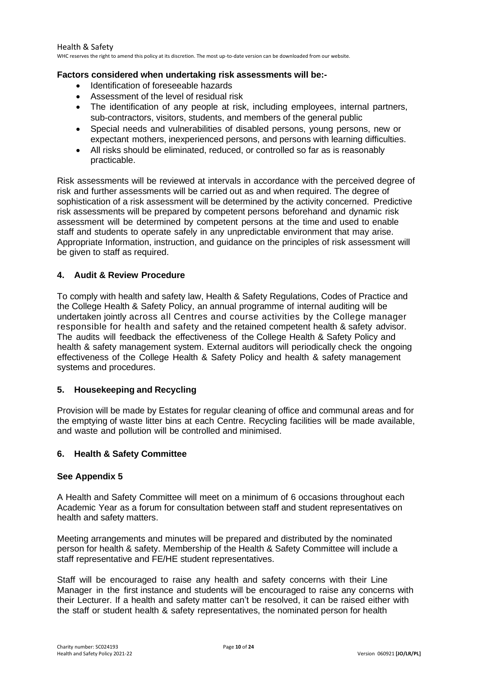#### **Factors considered when undertaking risk assessments will be:-**

- Identification of foreseeable hazards
- Assessment of the level of residual risk
- The identification of any people at risk, including employees, internal partners, sub-contractors, visitors, students, and members of the general public
- Special needs and vulnerabilities of disabled persons, young persons, new or expectant mothers, inexperienced persons, and persons with learning difficulties.
- All risks should be eliminated, reduced, or controlled so far as is reasonably practicable.

Risk assessments will be reviewed at intervals in accordance with the perceived degree of risk and further assessments will be carried out as and when required. The degree of sophistication of a risk assessment will be determined by the activity concerned. Predictive risk assessments will be prepared by competent persons beforehand and dynamic risk assessment will be determined by competent persons at the time and used to enable staff and students to operate safely in any unpredictable environment that may arise. Appropriate Information, instruction, and guidance on the principles of risk assessment will be given to staff as required.

#### <span id="page-9-0"></span>**4. Audit & Review Procedure**

To comply with health and safety law, Health & Safety Regulations, Codes of Practice and the College Health & Safety Policy, an annual programme of internal auditing will be undertaken jointly across all Centres and course activities by the College manager responsible for health and safety and the retained competent health & safety advisor. The audits will feedback the effectiveness of the College Health & Safety Policy and health & safety management system. External auditors will periodically check the ongoing effectiveness of the College Health & Safety Policy and health & safety management systems and procedures.

#### <span id="page-9-1"></span>**5. Housekeeping and Recycling**

Provision will be made by Estates for regular cleaning of office and communal areas and for the emptying of waste litter bins at each Centre. Recycling facilities will be made available, and waste and pollution will be controlled and minimised.

#### <span id="page-9-2"></span>**6. Health & Safety Committee**

#### **See Appendix 5**

A Health and Safety Committee will meet on a minimum of 6 occasions throughout each Academic Year as a forum for consultation between staff and student representatives on health and safety matters.

Meeting arrangements and minutes will be prepared and distributed by the nominated person for health & safety. Membership of the Health & Safety Committee will include a staff representative and FE/HE student representatives.

Staff will be encouraged to raise any health and safety concerns with their Line Manager in the first instance and students will be encouraged to raise any concerns with their Lecturer. If a health and safety matter can't be resolved, it can be raised either with the staff or student health & safety representatives, the nominated person for health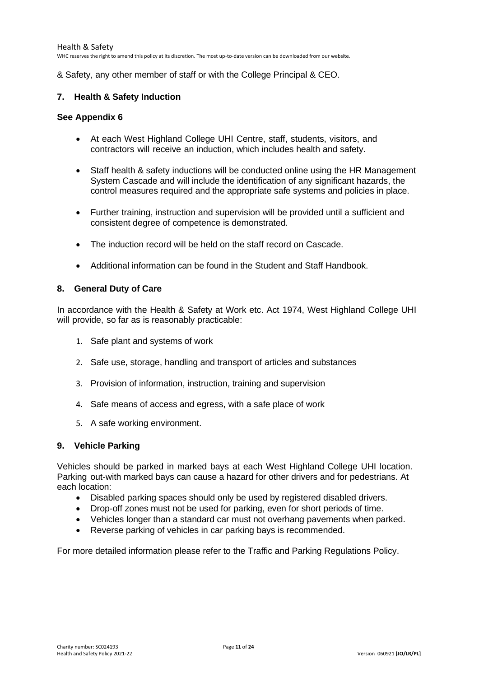& Safety, any other member of staff or with the College Principal & CEO.

#### <span id="page-10-0"></span>**7. Health & Safety Induction**

#### **See Appendix 6**

- At each West Highland College UHI Centre, staff, students, visitors, and contractors will receive an induction, which includes health and safety.
- Staff health & safety inductions will be conducted online using the HR Management System Cascade and will include the identification of any significant hazards, the control measures required and the appropriate safe systems and policies in place.
- Further training, instruction and supervision will be provided until a sufficient and consistent degree of competence is demonstrated.
- The induction record will be held on the staff record on Cascade.
- Additional information can be found in the Student and Staff Handbook.

#### <span id="page-10-1"></span>**8. General Duty of Care**

In accordance with the Health & Safety at Work etc. Act 1974, West Highland College UHI will provide, so far as is reasonably practicable:

- 1. Safe plant and systems of work
- 2. Safe use, storage, handling and transport of articles and substances
- 3. Provision of information, instruction, training and supervision
- 4. Safe means of access and egress, with a safe place of work
- 5. A safe working environment.

#### <span id="page-10-2"></span>**9. Vehicle Parking**

Vehicles should be parked in marked bays at each West Highland College UHI location. Parking out-with marked bays can cause a hazard for other drivers and for pedestrians. At each location:

- Disabled parking spaces should only be used by registered disabled drivers.
- Drop-off zones must not be used for parking, even for short periods of time.
- Vehicles longer than a standard car must not overhang pavements when parked.
- Reverse parking of vehicles in car parking bays is recommended.

For more detailed information please refer to the Traffic and Parking Regulations Policy.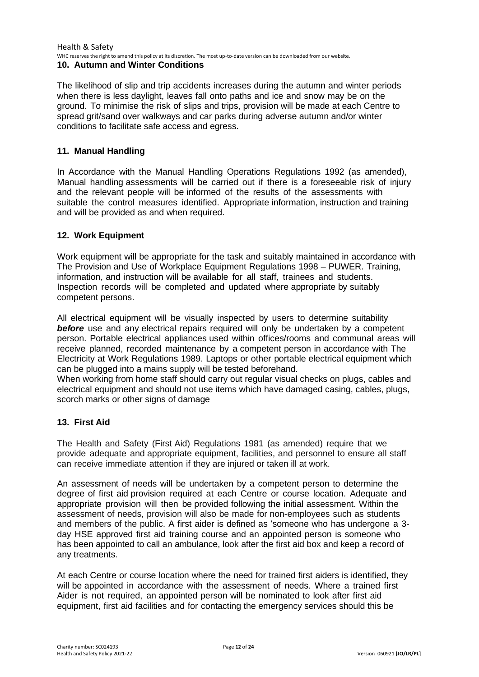#### Health & Safety WHC reserves the right to amend this policy at its discretion. The most up-to-date version can be downloaded from our website.

#### <span id="page-11-0"></span>**10. Autumn and Winter Conditions**

The likelihood of slip and trip accidents increases during the autumn and winter periods when there is less daylight, leaves fall onto paths and ice and snow may be on the ground. To minimise the risk of slips and trips, provision will be made at each Centre to spread grit/sand over walkways and car parks during adverse autumn and/or winter conditions to facilitate safe access and egress.

#### <span id="page-11-1"></span>**11. Manual Handling**

In Accordance with the Manual Handling Operations Regulations 1992 (as amended), Manual handling assessments will be carried out if there is a foreseeable risk of injury and the relevant people will be informed of the results of the assessments with suitable the control measures identified. Appropriate information, instruction and training and will be provided as and when required.

#### <span id="page-11-2"></span>**12. Work Equipment**

Work equipment will be appropriate for the task and suitably maintained in accordance with The Provision and Use of Workplace Equipment Regulations 1998 – PUWER. Training, information, and instruction will be available for all staff, trainees and students. Inspection records will be completed and updated where appropriate by suitably competent persons.

All electrical equipment will be visually inspected by users to determine suitability **before** use and any electrical repairs required will only be undertaken by a competent person. Portable electrical appliances used within offices/rooms and communal areas will receive planned, recorded maintenance by a competent person in accordance with The Electricity at Work Regulations 1989. Laptops or other portable electrical equipment which can be plugged into a mains supply will be tested beforehand.

When working from home staff should carry out regular visual checks on plugs, cables and electrical equipment and should not use items which have damaged casing, cables, plugs, scorch marks or other signs of damage

#### <span id="page-11-3"></span>**13. First Aid**

The Health and Safety (First Aid) Regulations 1981 (as amended) require that we provide adequate and appropriate equipment, facilities, and personnel to ensure all staff can receive immediate attention if they are injured or taken ill at work.

An assessment of needs will be undertaken by a competent person to determine the degree of first aid provision required at each Centre or course location. Adequate and appropriate provision will then be provided following the initial assessment. Within the assessment of needs, provision will also be made for non-employees such as students and members of the public. A first aider is defined as 'someone who has undergone a 3 day HSE approved first aid training course and an appointed person is someone who has been appointed to call an ambulance, look after the first aid box and keep a record of any treatments.

At each Centre or course location where the need for trained first aiders is identified, they will be appointed in accordance with the assessment of needs. Where a trained first Aider is not required, an appointed person will be nominated to look after first aid equipment, first aid facilities and for contacting the emergency services should this be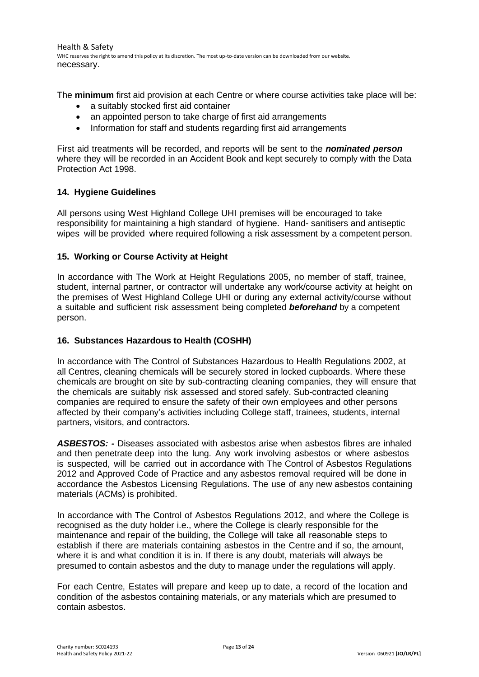Health & Safety WHC reserves the right to amend this policy at its discretion. The most up-to-date version can be downloaded from our website. necessary.

The **minimum** first aid provision at each Centre or where course activities take place will be:

- a suitably stocked first aid container
- an appointed person to take charge of first aid arrangements
- Information for staff and students regarding first aid arrangements

First aid treatments will be recorded, and reports will be sent to the *nominated person* where they will be recorded in an Accident Book and kept securely to comply with the Data Protection Act 1998.

#### <span id="page-12-0"></span>**14. Hygiene Guidelines**

All persons using West Highland College UHI premises will be encouraged to take responsibility for maintaining a high standard of hygiene. Hand- sanitisers and antiseptic wipes will be provided where required following a risk assessment by a competent person.

#### <span id="page-12-1"></span>**15. Working or Course Activity at Height**

In accordance with The Work at Height Regulations 2005, no member of staff, trainee, student, internal partner, or contractor will undertake any work/course activity at height on the premises of West Highland College UHI or during any external activity/course without a suitable and sufficient risk assessment being completed *beforehand* by a competent person.

#### <span id="page-12-2"></span>**16. Substances Hazardous to Health (COSHH)**

In accordance with The Control of Substances Hazardous to Health Regulations 2002, at all Centres, cleaning chemicals will be securely stored in locked cupboards. Where these chemicals are brought on site by sub-contracting cleaning companies, they will ensure that the chemicals are suitably risk assessed and stored safely. Sub-contracted cleaning companies are required to ensure the safety of their own employees and other persons affected by their company's activities including College staff, trainees, students, internal partners, visitors, and contractors.

*ASBESTOS: -* Diseases associated with asbestos arise when asbestos fibres are inhaled and then penetrate deep into the lung. Any work involving asbestos or where asbestos is suspected, will be carried out in accordance with The Control of Asbestos Regulations 2012 and Approved Code of Practice and any asbestos removal required will be done in accordance the Asbestos Licensing Regulations. The use of any new asbestos containing materials (ACMs) is prohibited.

In accordance with The Control of Asbestos Regulations 2012, and where the College is recognised as the duty holder i.e., where the College is clearly responsible for the maintenance and repair of the building, the College will take all reasonable steps to establish if there are materials containing asbestos in the Centre and if so, the amount, where it is and what condition it is in. If there is any doubt, materials will always be presumed to contain asbestos and the duty to manage under the regulations will apply.

For each Centre, Estates will prepare and keep up to date, a record of the location and condition of the asbestos containing materials, or any materials which are presumed to contain asbestos.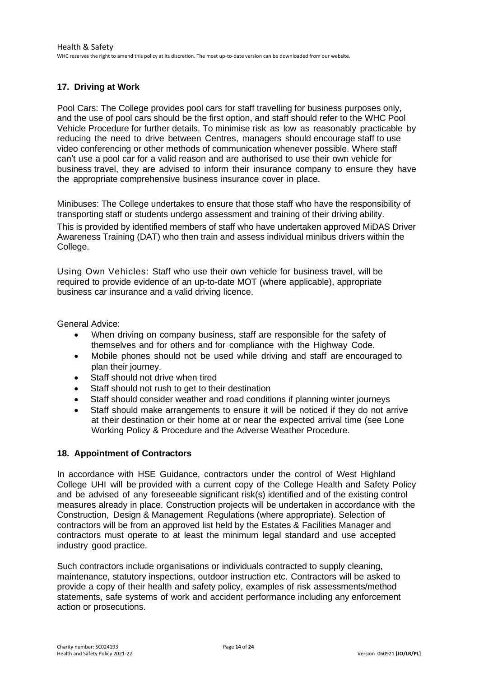## <span id="page-13-0"></span>**17. Driving at Work**

Pool Cars: The College provides pool cars for staff travelling for business purposes only, and the use of pool cars should be the first option, and staff should refer to the WHC Pool Vehicle Procedure for further details. To minimise risk as low as reasonably practicable by reducing the need to drive between Centres, managers should encourage staff to use video conferencing or other methods of communication whenever possible. Where staff can't use a pool car for a valid reason and are authorised to use their own vehicle for business travel, they are advised to inform their insurance company to ensure they have the appropriate comprehensive business insurance cover in place.

Minibuses: The College undertakes to ensure that those staff who have the responsibility of transporting staff or students undergo assessment and training of their driving ability. This is provided by identified members of staff who have undertaken approved MiDAS Driver Awareness Training (DAT) who then train and assess individual minibus drivers within the College.

Using Own Vehicles: Staff who use their own vehicle for business travel, will be required to provide evidence of an up-to-date MOT (where applicable), appropriate business car insurance and a valid driving licence.

General Advice:

- When driving on company business, staff are responsible for the safety of themselves and for others and for compliance with the Highway Code.
- Mobile phones should not be used while driving and staff are encouraged to plan their journey.
- Staff should not drive when tired
- Staff should not rush to get to their destination
- Staff should consider weather and road conditions if planning winter journeys
- Staff should make arrangements to ensure it will be noticed if they do not arrive at their destination or their home at or near the expected arrival time (see Lone Working Policy & Procedure and the Adverse Weather Procedure.

#### <span id="page-13-1"></span>**18. Appointment of Contractors**

In accordance with HSE Guidance, contractors under the control of West Highland College UHI will be provided with a current copy of the College Health and Safety Policy and be advised of any foreseeable significant risk(s) identified and of the existing control measures already in place. Construction projects will be undertaken in accordance with the Construction, Design & Management Regulations (where appropriate). Selection of contractors will be from an approved list held by the Estates & Facilities Manager and contractors must operate to at least the minimum legal standard and use accepted industry good practice.

Such contractors include organisations or individuals contracted to supply cleaning, maintenance, statutory inspections, outdoor instruction etc. Contractors will be asked to provide a copy of their health and safety policy, examples of risk assessments/method statements, safe systems of work and accident performance including any enforcement action or prosecutions.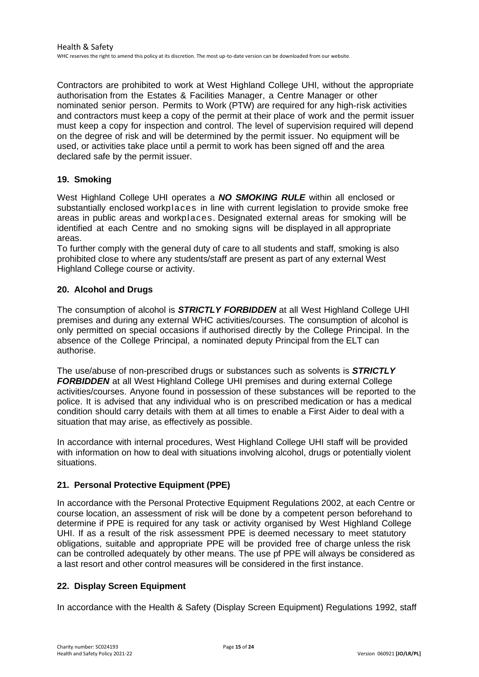Contractors are prohibited to work at West Highland College UHI, without the appropriate authorisation from the Estates & Facilities Manager, a Centre Manager or other nominated senior person. Permits to Work (PTW) are required for any high-risk activities and contractors must keep a copy of the permit at their place of work and the permit issuer must keep a copy for inspection and control. The level of supervision required will depend on the degree of risk and will be determined by the permit issuer. No equipment will be used, or activities take place until a permit to work has been signed off and the area declared safe by the permit issuer.

#### <span id="page-14-0"></span>**19. Smoking**

West Highland College UHI operates a *NO SMOKING RULE* within all enclosed or substantially enclosed workplaces in line with current legislation to provide smoke free areas in public areas and workplaces. Designated external areas for smoking will be identified at each Centre and no smoking signs will be displayed in all appropriate areas.

To further comply with the general duty of care to all students and staff, smoking is also prohibited close to where any students/staff are present as part of any external West Highland College course or activity.

#### <span id="page-14-1"></span>**20. Alcohol and Drugs**

The consumption of alcohol is *STRICTLY FORBIDDEN* at all West Highland College UHI premises and during any external WHC activities/courses. The consumption of alcohol is only permitted on special occasions if authorised directly by the College Principal. In the absence of the College Principal, a nominated deputy Principal from the ELT can authorise.

The use/abuse of non-prescribed drugs or substances such as solvents is *STRICTLY FORBIDDEN* at all West Highland College UHI premises and during external College activities/courses. Anyone found in possession of these substances will be reported to the police. It is advised that any individual who is on prescribed medication or has a medical condition should carry details with them at all times to enable a First Aider to deal with a situation that may arise, as effectively as possible.

In accordance with internal procedures, West Highland College UHI staff will be provided with information on how to deal with situations involving alcohol, drugs or potentially violent situations.

#### <span id="page-14-2"></span>**21. Personal Protective Equipment (PPE)**

In accordance with the Personal Protective Equipment Regulations 2002, at each Centre or course location, an assessment of risk will be done by a competent person beforehand to determine if PPE is required for any task or activity organised by West Highland College UHI. If as a result of the risk assessment PPE is deemed necessary to meet statutory obligations, suitable and appropriate PPE will be provided free of charge unless the risk can be controlled adequately by other means. The use pf PPE will always be considered as a last resort and other control measures will be considered in the first instance.

#### <span id="page-14-3"></span>**22. Display Screen Equipment**

In accordance with the Health & Safety (Display Screen Equipment) Regulations 1992, staff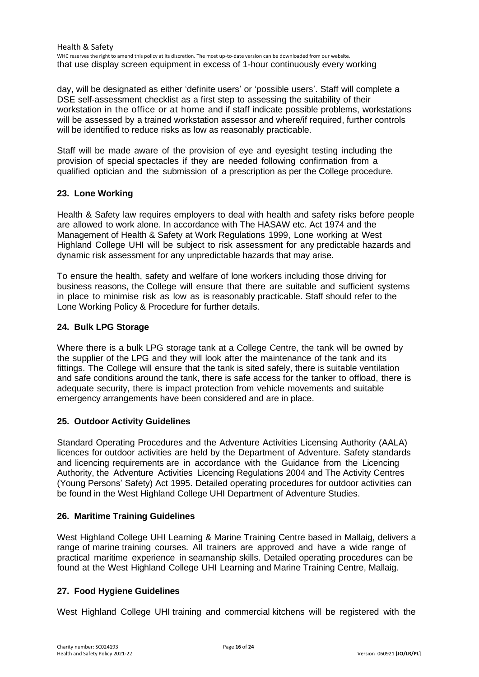Health & Safety WHC reserves the right to amend this policy at its discretion. The most up-to-date version can be downloaded from our website. that use display screen equipment in excess of 1-hour continuously every working

day, will be designated as either 'definite users' or 'possible users'. Staff will complete a DSE self-assessment checklist as a first step to assessing the suitability of their workstation in the office or at home and if staff indicate possible problems, workstations will be assessed by a trained workstation assessor and where/if required, further controls will be identified to reduce risks as low as reasonably practicable.

Staff will be made aware of the provision of eye and eyesight testing including the provision of special spectacles if they are needed following confirmation from a qualified optician and the submission of a prescription as per the College procedure.

#### <span id="page-15-0"></span>**23. Lone Working**

Health & Safety law requires employers to deal with health and safety risks before people are allowed to work alone. In accordance with The HASAW etc. Act 1974 and the Management of Health & Safety at Work Regulations 1999, Lone working at West Highland College UHI will be subject to risk assessment for any predictable hazards and dynamic risk assessment for any unpredictable hazards that may arise.

To ensure the health, safety and welfare of lone workers including those driving for business reasons, the College will ensure that there are suitable and sufficient systems in place to minimise risk as low as is reasonably practicable. Staff should refer to the Lone Working Policy & Procedure for further details.

#### <span id="page-15-1"></span>**24. Bulk LPG Storage**

Where there is a bulk LPG storage tank at a College Centre, the tank will be owned by the supplier of the LPG and they will look after the maintenance of the tank and its fittings. The College will ensure that the tank is sited safely, there is suitable ventilation and safe conditions around the tank, there is safe access for the tanker to offload, there is adequate security, there is impact protection from vehicle movements and suitable emergency arrangements have been considered and are in place.

#### <span id="page-15-2"></span>**25. Outdoor Activity Guidelines**

Standard Operating Procedures and the Adventure Activities Licensing Authority (AALA) licences for outdoor activities are held by the Department of Adventure. Safety standards and licencing requirements are in accordance with the Guidance from the Licencing Authority, the Adventure Activities Licencing Regulations 2004 and The Activity Centres (Young Persons' Safety) Act 1995. Detailed operating procedures for outdoor activities can be found in the West Highland College UHI Department of Adventure Studies.

#### <span id="page-15-3"></span>**26. Maritime Training Guidelines**

West Highland College UHI Learning & Marine Training Centre based in Mallaig, delivers a range of marine training courses. All trainers are approved and have a wide range of practical maritime experience in seamanship skills. Detailed operating procedures can be found at the West Highland College UHI Learning and Marine Training Centre, Mallaig.

#### <span id="page-15-4"></span>**27. Food Hygiene Guidelines**

West Highland College UHI training and commercial kitchens will be registered with the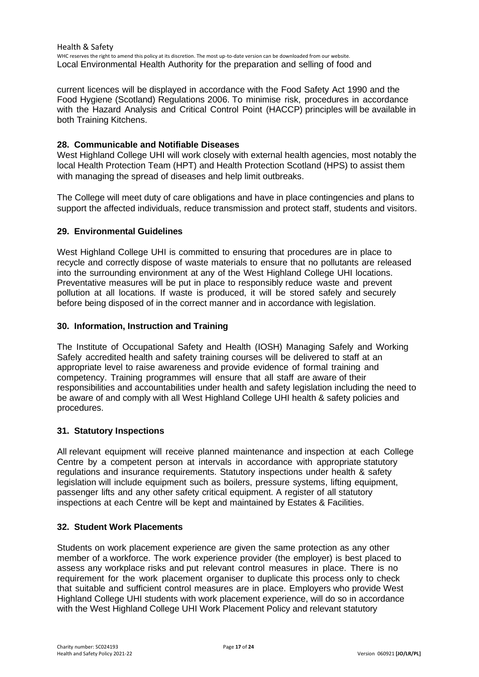Health & Safety WHC reserves the right to amend this policy at its discretion. The most up-to-date version can be downloaded from our website. Local Environmental Health Authority for the preparation and selling of food and

current licences will be displayed in accordance with the Food Safety Act 1990 and the Food Hygiene (Scotland) Regulations 2006. To minimise risk, procedures in accordance with the Hazard Analysis and Critical Control Point (HACCP) principles will be available in both Training Kitchens.

#### <span id="page-16-0"></span>**28. Communicable and Notifiable Diseases**

West Highland College UHI will work closely with external health agencies, most notably the local Health Protection Team (HPT) and Health Protection Scotland (HPS) to assist them with managing the spread of diseases and help limit outbreaks.

The College will meet duty of care obligations and have in place contingencies and plans to support the affected individuals, reduce transmission and protect staff, students and visitors.

#### <span id="page-16-1"></span>**29. Environmental Guidelines**

West Highland College UHI is committed to ensuring that procedures are in place to recycle and correctly dispose of waste materials to ensure that no pollutants are released into the surrounding environment at any of the West Highland College UHI locations. Preventative measures will be put in place to responsibly reduce waste and prevent pollution at all locations. If waste is produced, it will be stored safely and securely before being disposed of in the correct manner and in accordance with legislation.

#### <span id="page-16-2"></span>**30. Information, Instruction and Training**

The Institute of Occupational Safety and Health (IOSH) Managing Safely and Working Safely accredited health and safety training courses will be delivered to staff at an appropriate level to raise awareness and provide evidence of formal training and competency. Training programmes will ensure that all staff are aware of their responsibilities and accountabilities under health and safety legislation including the need to be aware of and comply with all West Highland College UHI health & safety policies and procedures.

#### <span id="page-16-3"></span>**31. Statutory Inspections**

All relevant equipment will receive planned maintenance and inspection at each College Centre by a competent person at intervals in accordance with appropriate statutory regulations and insurance requirements. Statutory inspections under health & safety legislation will include equipment such as boilers, pressure systems, lifting equipment, passenger lifts and any other safety critical equipment. A register of all statutory inspections at each Centre will be kept and maintained by Estates & Facilities.

#### <span id="page-16-4"></span>**32. Student Work Placements**

Students on work placement experience are given the same protection as any other member of a workforce. The work experience provider (the employer) is best placed to assess any workplace risks and put relevant control measures in place. There is no requirement for the work placement organiser to duplicate this process only to check that suitable and sufficient control measures are in place. Employers who provide West Highland College UHI students with work placement experience, will do so in accordance with the West Highland College UHI Work Placement Policy and relevant statutory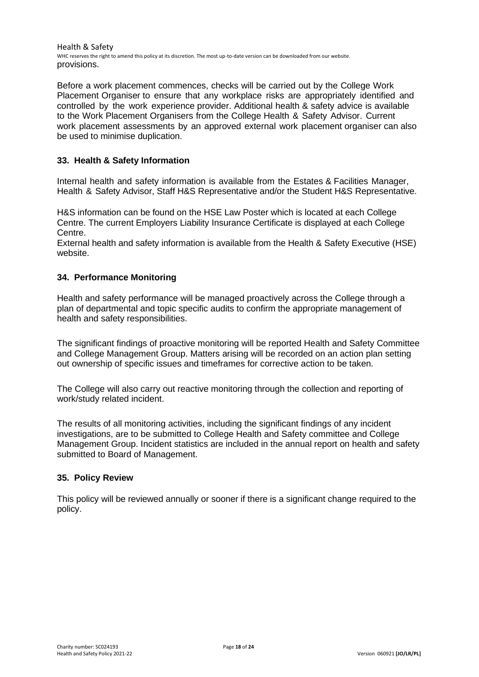Health & Safety WHC reserves the right to amend this policy at its discretion. The most up-to-date version can be downloaded from our website. provisions.

Before a work placement commences, checks will be carried out by the College Work Placement Organiser to ensure that any workplace risks are appropriately identified and controlled by the work experience provider. Additional health & safety advice is available to the Work Placement Organisers from the College Health & Safety Advisor. Current work placement assessments by an approved external work placement organiser can also be used to minimise duplication.

#### <span id="page-17-0"></span>**33. Health & Safety Information**

Internal health and safety information is available from the Estates & Facilities Manager, Health & Safety Advisor, Staff H&S Representative and/or the Student H&S Representative.

H&S information can be found on the HSE Law Poster which is located at each College Centre. The current Employers Liability Insurance Certificate is displayed at each College Centre.

External health and safety information is available from the Health & Safety Executive (HSE) website.

#### <span id="page-17-1"></span>**34. Performance Monitoring**

Health and safety performance will be managed proactively across the College through a plan of departmental and topic specific audits to confirm the appropriate management of health and safety responsibilities.

The significant findings of proactive monitoring will be reported Health and Safety Committee and College Management Group. Matters arising will be recorded on an action plan setting out ownership of specific issues and timeframes for corrective action to be taken.

The College will also carry out reactive monitoring through the collection and reporting of work/study related incident.

The results of all monitoring activities, including the significant findings of any incident investigations, are to be submitted to College Health and Safety committee and College Management Group. Incident statistics are included in the annual report on health and safety submitted to Board of Management.

#### **35. Policy Review**

This policy will be reviewed annually or sooner if there is a significant change required to the policy.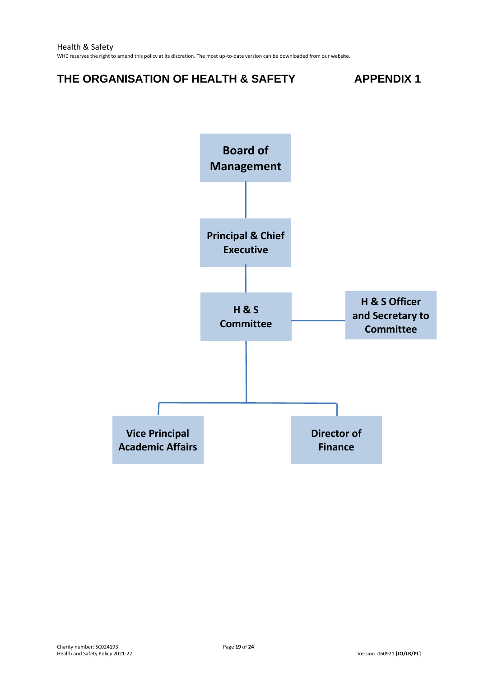# <span id="page-18-0"></span>**THE ORGANISATION OF HEALTH & SAFETY APPENDIX 1**



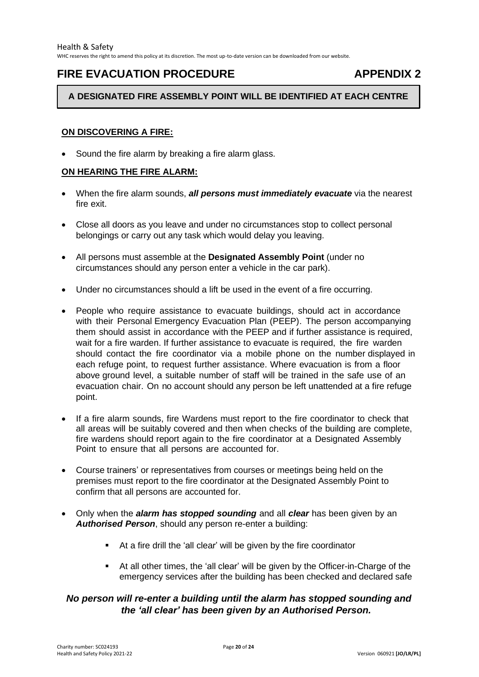## <span id="page-19-0"></span>**FIRE EVACUATION PROCEDURE APPENDIX 2**

#### **A DESIGNATED FIRE ASSEMBLY POINT WILL BE IDENTIFIED AT EACH CENTRE**

#### **ON DISCOVERING A FIRE:**

Sound the fire alarm by breaking a fire alarm glass.

#### **ON HEARING THE FIRE ALARM:**

- When the fire alarm sounds, *all persons must immediately evacuate* via the nearest fire exit.
- Close all doors as you leave and under no circumstances stop to collect personal belongings or carry out any task which would delay you leaving.
- All persons must assemble at the **Designated Assembly Point** (under no circumstances should any person enter a vehicle in the car park).
- Under no circumstances should a lift be used in the event of a fire occurring.
- People who require assistance to evacuate buildings, should act in accordance with their Personal Emergency Evacuation Plan (PEEP). The person accompanying them should assist in accordance with the PEEP and if further assistance is required, wait for a fire warden. If further assistance to evacuate is required, the fire warden should contact the fire coordinator via a mobile phone on the number displayed in each refuge point, to request further assistance. Where evacuation is from a floor above ground level, a suitable number of staff will be trained in the safe use of an evacuation chair. On no account should any person be left unattended at a fire refuge point.
- If a fire alarm sounds, fire Wardens must report to the fire coordinator to check that all areas will be suitably covered and then when checks of the building are complete, fire wardens should report again to the fire coordinator at a Designated Assembly Point to ensure that all persons are accounted for.
- Course trainers' or representatives from courses or meetings being held on the premises must report to the fire coordinator at the Designated Assembly Point to confirm that all persons are accounted for.
- Only when the *alarm has stopped sounding* and all *clear* has been given by an *Authorised Person*, should any person re-enter a building:
	- At a fire drill the 'all clear' will be given by the fire coordinator
	- At all other times, the 'all clear' will be given by the Officer-in-Charge of the emergency services after the building has been checked and declared safe

## *No person will re-enter a building until the alarm has stopped sounding and the 'all clear' has been given by an Authorised Person.*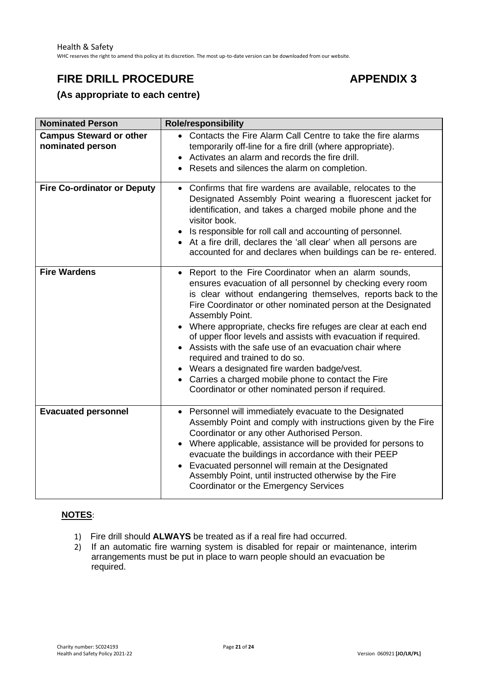# <span id="page-20-0"></span>**FIRE DRILL PROCEDURE APPENDIX 3**

**(As appropriate to each centre)**

| <b>Nominated Person</b>                            | <b>Role/responsibility</b>                                                                                                                                                                                                                                                                                                                                                                                                                                                                                                                                                                                                                                                   |
|----------------------------------------------------|------------------------------------------------------------------------------------------------------------------------------------------------------------------------------------------------------------------------------------------------------------------------------------------------------------------------------------------------------------------------------------------------------------------------------------------------------------------------------------------------------------------------------------------------------------------------------------------------------------------------------------------------------------------------------|
| <b>Campus Steward or other</b><br>nominated person | • Contacts the Fire Alarm Call Centre to take the fire alarms<br>temporarily off-line for a fire drill (where appropriate).<br>Activates an alarm and records the fire drill.<br>$\bullet$<br>Resets and silences the alarm on completion.<br>٠                                                                                                                                                                                                                                                                                                                                                                                                                              |
| <b>Fire Co-ordinator or Deputy</b>                 | Confirms that fire wardens are available, relocates to the<br>$\bullet$<br>Designated Assembly Point wearing a fluorescent jacket for<br>identification, and takes a charged mobile phone and the<br>visitor book.<br>Is responsible for roll call and accounting of personnel.<br>• At a fire drill, declares the 'all clear' when all persons are<br>accounted for and declares when buildings can be re-entered.                                                                                                                                                                                                                                                          |
| <b>Fire Wardens</b>                                | Report to the Fire Coordinator when an alarm sounds,<br>$\bullet$<br>ensures evacuation of all personnel by checking every room<br>is clear without endangering themselves, reports back to the<br>Fire Coordinator or other nominated person at the Designated<br>Assembly Point.<br>Where appropriate, checks fire refuges are clear at each end<br>of upper floor levels and assists with evacuation if required.<br>Assists with the safe use of an evacuation chair where<br>required and trained to do so.<br>Wears a designated fire warden badge/vest.<br>• Carries a charged mobile phone to contact the Fire<br>Coordinator or other nominated person if required. |
| <b>Evacuated personnel</b>                         | Personnel will immediately evacuate to the Designated<br>Assembly Point and comply with instructions given by the Fire<br>Coordinator or any other Authorised Person.<br>Where applicable, assistance will be provided for persons to<br>$\bullet$<br>evacuate the buildings in accordance with their PEEP<br>Evacuated personnel will remain at the Designated<br>Assembly Point, until instructed otherwise by the Fire<br>Coordinator or the Emergency Services                                                                                                                                                                                                           |

#### **NOTES**:

- 1) Fire drill should **ALWAYS** be treated as if a real fire had occurred.
- 2) If an automatic fire warning system is disabled for repair or maintenance, interim arrangements must be put in place to warn people should an evacuation be required.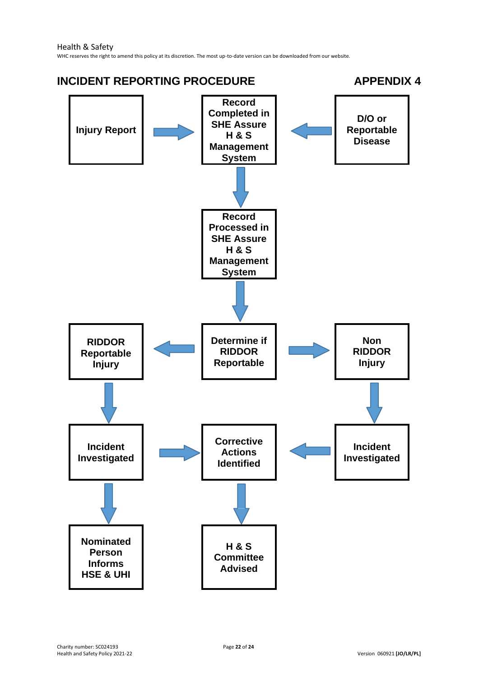<span id="page-21-0"></span>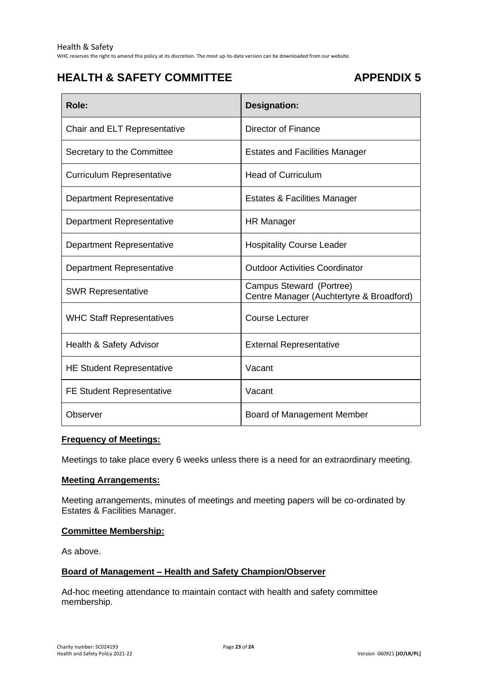WHC reserves the right to amend this policy at its discretion. The most up-to-date version can be downloaded from our website.

# <span id="page-22-0"></span>**HEALTH & SAFETY COMMITTEE** APPENDIX 5

| Role:                            | Designation:                                                         |
|----------------------------------|----------------------------------------------------------------------|
| Chair and ELT Representative     | Director of Finance                                                  |
| Secretary to the Committee       | <b>Estates and Facilities Manager</b>                                |
| <b>Curriculum Representative</b> | <b>Head of Curriculum</b>                                            |
| Department Representative        | <b>Estates &amp; Facilities Manager</b>                              |
| Department Representative        | HR Manager                                                           |
| <b>Department Representative</b> | <b>Hospitality Course Leader</b>                                     |
| Department Representative        | <b>Outdoor Activities Coordinator</b>                                |
| <b>SWR Representative</b>        | Campus Steward (Portree)<br>Centre Manager (Auchtertyre & Broadford) |
| <b>WHC Staff Representatives</b> | <b>Course Lecturer</b>                                               |
| Health & Safety Advisor          | <b>External Representative</b>                                       |
| <b>HE Student Representative</b> | Vacant                                                               |
| <b>FE Student Representative</b> | Vacant                                                               |
| Observer                         | Board of Management Member                                           |

#### **Frequency of Meetings:**

Meetings to take place every 6 weeks unless there is a need for an extraordinary meeting.

#### **Meeting Arrangements:**

Meeting arrangements, minutes of meetings and meeting papers will be co-ordinated by Estates & Facilities Manager.

#### **Committee Membership:**

As above.

#### **Board of Management – Health and Safety Champion/Observer**

Ad-hoc meeting attendance to maintain contact with health and safety committee membership.